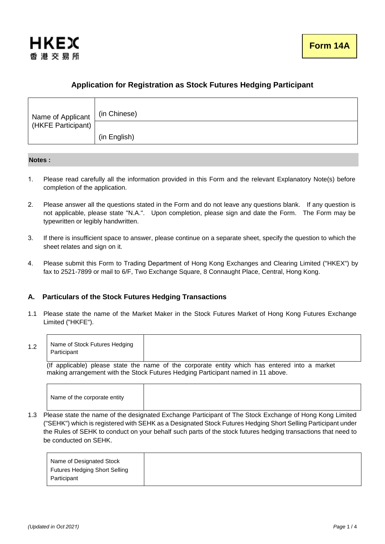

# **Application for Registration as Stock Futures Hedging Participant**

| Name of Applicant<br>(HKFE Participant) | (in Chinese) |
|-----------------------------------------|--------------|
|                                         |              |
|                                         | (in English) |

## **Notes :**

- 1. Please read carefully all the information provided in this Form and the relevant Explanatory Note(s) before completion of the application.
- 2. Please answer all the questions stated in the Form and do not leave any questions blank. If any question is not applicable, please state "N.A.". Upon completion, please sign and date the Form. The Form may be typewritten or legibly handwritten.
- 3. If there is insufficient space to answer, please continue on a separate sheet, specify the question to which the sheet relates and sign on it.
- 4. Please submit this Form to Trading Department of Hong Kong Exchanges and Clearing Limited ("HKEX") by fax to 2521-7899 or mail to 6/F, Two Exchange Square, 8 Connaught Place, Central, Hong Kong.

# **A. Particulars of the Stock Futures Hedging Transactions**

1.1 Please state the name of the Market Maker in the Stock Futures Market of Hong Kong Futures Exchange Limited ("HKFE").

| $\overline{1}$ | Name of Stock Futures Hedging |
|----------------|-------------------------------|
| ے. ا           | Participant                   |

 (If applicable) please state the name of the corporate entity which has entered into a market making arrangement with the Stock Futures Hedging Participant named in 11 above.

1.3 Please state the name of the designated Exchange Participant of The Stock Exchange of Hong Kong Limited ("SEHK") which is registered with SEHK as a Designated Stock Futures Hedging Short Selling Participant under the Rules of SEHK to conduct on your behalf such parts of the stock futures hedging transactions that need to be conducted on SEHK.

| Name of Designated Stock             |
|--------------------------------------|
| <b>Futures Hedging Short Selling</b> |
| Participant                          |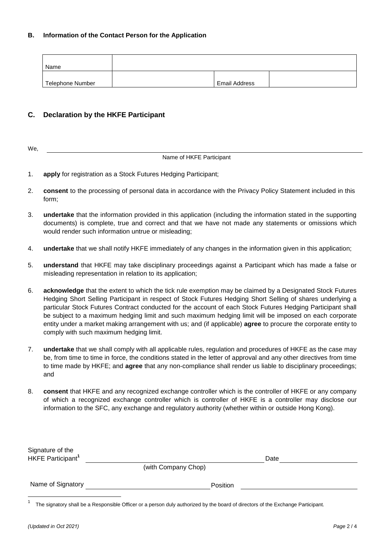## **B. Information of the Contact Person for the Application**

| Name             |                      |  |
|------------------|----------------------|--|
| Telephone Number | <b>Email Address</b> |  |

# **C. Declaration by the HKFE Participant**

| 10 |  |  |
|----|--|--|
|    |  |  |

## Name of HKFE Participant

- 1. **apply** for registration as a Stock Futures Hedging Participant;
- 2. **consent** to the processing of personal data in accordance with the Privacy Policy Statement included in this form;
- 3. **undertake** that the information provided in this application (including the information stated in the supporting documents) is complete, true and correct and that we have not made any statements or omissions which would render such information untrue or misleading;
- 4. **undertake** that we shall notify HKFE immediately of any changes in the information given in this application;
- 5. **understand** that HKFE may take disciplinary proceedings against a Participant which has made a false or misleading representation in relation to its application;
- 6. **acknowledge** that the extent to which the tick rule exemption may be claimed by a Designated Stock Futures Hedging Short Selling Participant in respect of Stock Futures Hedging Short Selling of shares underlying a particular Stock Futures Contract conducted for the account of each Stock Futures Hedging Participant shall be subject to a maximum hedging limit and such maximum hedging limit will be imposed on each corporate entity under a market making arrangement with us; and (if applicable) **agree** to procure the corporate entity to comply with such maximum hedging limit.
- 7. **undertake** that we shall comply with all applicable rules, regulation and procedures of HKFE as the case may be, from time to time in force, the conditions stated in the letter of approval and any other directives from time to time made by HKFE; and **agree** that any non-compliance shall render us liable to disciplinary proceedings; and
- 8. **consent** that HKFE and any recognized exchange controller which is the controller of HKFE or any company of which a recognized exchange controller which is controller of HKFE is a controller may disclose our information to the SFC, any exchange and regulatory authority (whether within or outside Hong Kong).

| Signature of the<br>HKFE Participant <sup>1</sup> | Date                |  |
|---------------------------------------------------|---------------------|--|
|                                                   | (with Company Chop) |  |
| Name of Signatory                                 | Position            |  |

<sup>1</sup> The signatory shall be a Responsible Officer or a person duly authorized by the board of directors of the Exchange Participant.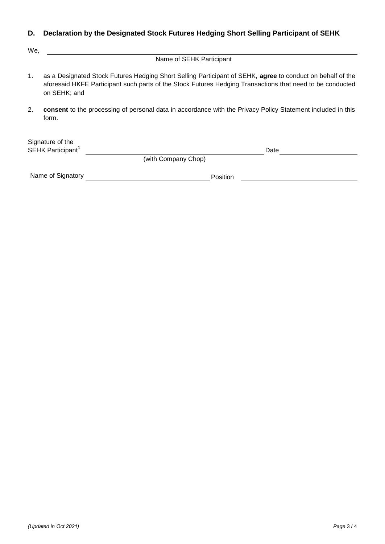# **D. Declaration by the Designated Stock Futures Hedging Short Selling Participant of SEHK**

We,

Name of SEHK Participant

- 1. as a Designated Stock Futures Hedging Short Selling Participant of SEHK, **agree** to conduct on behalf of the aforesaid HKFE Participant such parts of the Stock Futures Hedging Transactions that need to be conducted on SEHK; and
- 2. **consent** to the processing of personal data in accordance with the Privacy Policy Statement included in this form.

| Signature of the              |                                    |             |  |
|-------------------------------|------------------------------------|-------------|--|
| SEHK Participant <sup>1</sup> |                                    | <b>Date</b> |  |
|                               | $\sim$ $\sim$ $\sim$ $\sim$ $\sim$ |             |  |

(with Company Chop)

Name of Signatory Position